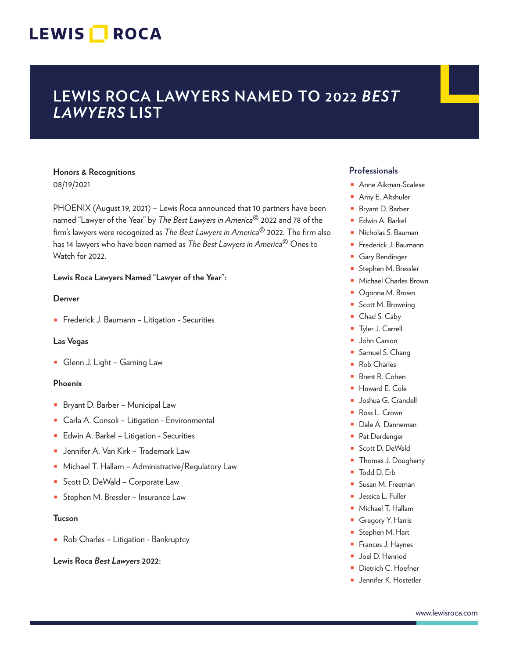## **LEWIS ROCA LAWYERS NAMED TO 2022** *BEST LAWYERS* **LIST**

## **Honors & Recognitions** 08/19/2021

PHOENIX (August 19, 2021) – Lewis Roca announced that 10 partners have been named "Lawyer of the Year" by *The Best Lawyers in America***©** 2022 and 78 of the firm's lawyers were recognized as *The Best Lawyers in America***©** 2022. The firm also has 14 lawyers who have been named as *The Best Lawyers in America***©** Ones to Watch for 2022.

## **Lewis Roca Lawyers Named "Lawyer of the Year":**

## **Denver**

■ Frederick J. Baumann – Litigation - Securities

## **Las Vegas**

■ Glenn J. Light – Gaming Law

## **Phoenix**

- Bryant D. Barber Municipal Law
- Carla A. Consoli Litigation Environmental
- Edwin A. Barkel Litigation Securities
- Jennifer A. Van Kirk Trademark Law
- Michael T. Hallam Administrative/Regulatory Law
- Scott D. DeWald Corporate Law
- Stephen M. Bressler Insurance Law

## **Tucson**

■ Rob Charles – Litigation - Bankruptcy

**Lewis Roca** *Best Lawyers* **2022:**

## **Professionals**

- Anne Aikman-Scalese
- Amy E. Altshuler
- Bryant D. Barber
- Edwin A. Barkel
- Nicholas S. Bauman
- Frederick J. Baumann
- Gary Bendinger
- Stephen M. Bressler
- Michael Charles Brown
- Ogonna M. Brown
- Scott M. Browning
- Chad S. Caby
- Tyler J. Carrell
- John Carson
- Samuel S. Chang
- Rob Charles
- Brent R. Cohen
- Howard E. Cole
- Joshua G. Crandell
- Ross L. Crown
- Dale A. Danneman
- Pat Derdenger
- Scott D. DeWald
- Thomas J. Dougherty
- Todd D. Erb
- Susan M. Freeman
- Jessica L. Fuller
- Michael T. Hallam
- Gregory Y. Harris
- Stephen M. Hart
- Frances J. Haynes
- Joel D. Henriod
- Dietrich C. Hoefner
- Jennifer K. Hostetler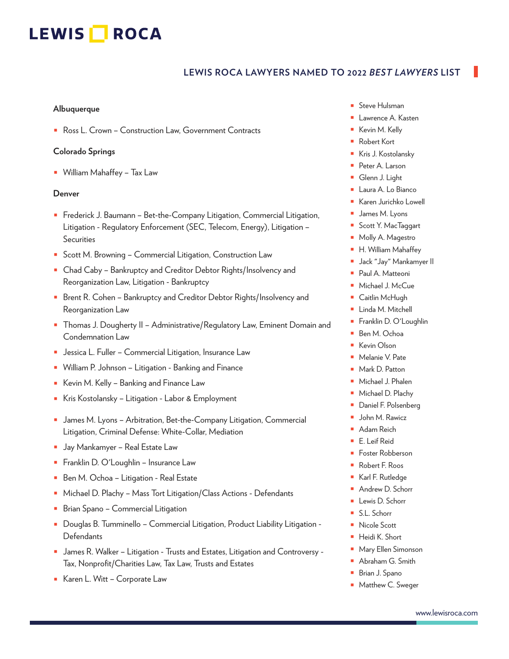## **LEWIS ROCA LAWYERS NAMED TO 2022** *BEST LAWYERS* **LIST**

#### **Albuquerque**

■ Ross L. Crown – Construction Law, Government Contracts

## **Colorado Springs**

■ William Mahaffey – Tax Law

## **Denver**

- Frederick J. Baumann Bet-the-Company Litigation, Commercial Litigation, Litigation - Regulatory Enforcement (SEC, Telecom, Energy), Litigation – Securities
- Scott M. Browning Commercial Litigation, Construction Law
- Chad Caby Bankruptcy and Creditor Debtor Rights/Insolvency and Reorganization Law, Litigation - Bankruptcy
- Brent R. Cohen Bankruptcy and Creditor Debtor Rights/Insolvency and Reorganization Law
- Thomas J. Dougherty II Administrative/Regulatory Law, Eminent Domain and Condemnation Law
- Jessica L. Fuller Commercial Litigation, Insurance Law
- William P. Johnson Litigation Banking and Finance
- Kevin M. Kelly Banking and Finance Law
- Kris Kostolansky Litigation Labor & Employment
- James M. Lyons Arbitration, Bet-the-Company Litigation, Commercial Litigation, Criminal Defense: White-Collar, Mediation
- Jay Mankamyer Real Estate Law
- Franklin D. O'Loughlin Insurance Law
- Ben M. Ochoa Litigation Real Estate
- Michael D. Plachy Mass Tort Litigation/Class Actions Defendants
- Brian Spano Commercial Litigation
- Douglas B. Tumminello Commercial Litigation, Product Liability Litigation -**Defendants**
- James R. Walker Litigation Trusts and Estates, Litigation and Controversy -Tax, Nonprofit/Charities Law, Tax Law, Trusts and Estates
- Karen L. Witt Corporate Law
- Steve Hulsman
- Lawrence A. Kasten
- Kevin M. Kelly
- Robert Kort
- Kris J. Kostolansky
- Peter A. Larson
- Glenn J. Light
- Laura A. Lo Bianco
- Karen Jurichko Lowell
- James M. Lyons
- Scott Y. MacTaggart
- Molly A. Magestro
- H. William Mahaffey
- Jack "Jay" Mankamyer II
- Paul A. Matteoni
- Michael J. McCue
- Caitlin McHugh
- Linda M. Mitchell
- Franklin D. O'Loughlin
- Ben M. Ochoa
- Kevin Olson
- Melanie V. Pate
- Mark D. Patton
- Michael J. Phalen
- Michael D. Plachy
- Daniel F. Polsenberg
- John M. Rawicz
- Adam Reich
- E. Leif Reid
- Foster Robberson
- Robert F. Roos
- Karl F. Rutledge
- Andrew D. Schorr
- Lewis D. Schorr
- S.L. Schorr
- Nicole Scott
- Heidi K. Short
- Mary Ellen Simonson
- Abraham G. Smith
- Brian J. Spano
- Matthew C. Sweger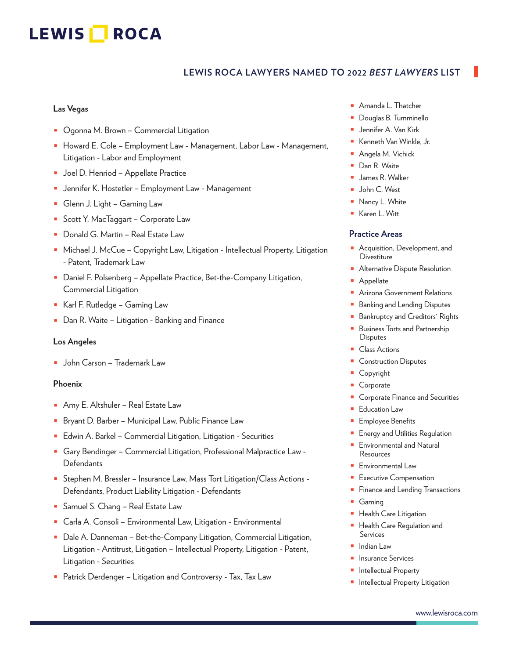## **LEWIS ROCA LAWYERS NAMED TO 2022** *BEST LAWYERS* **LIST**

## **Las Vegas**

- Ogonna M. Brown Commercial Litigation
- Howard E. Cole Employment Law Management, Labor Law Management, Litigation - Labor and Employment
- Joel D. Henriod Appellate Practice
- Jennifer K. Hostetler Employment Law Management
- Glenn J. Light Gaming Law
- Scott Y. MacTaggart Corporate Law
- Donald G. Martin Real Estate Law
- Michael J. McCue Copyright Law, Litigation Intellectual Property, Litigation - Patent, Trademark Law
- Daniel F. Polsenberg Appellate Practice, Bet-the-Company Litigation, Commercial Litigation
- Karl F. Rutledge Gaming Law
- Dan R. Waite Litigation Banking and Finance

#### **Los Angeles**

■ John Carson – Trademark Law

## **Phoenix**

- Amy E. Altshuler Real Estate Law
- Bryant D. Barber Municipal Law, Public Finance Law
- Edwin A. Barkel Commercial Litigation, Litigation Securities
- Gary Bendinger Commercial Litigation, Professional Malpractice Law **Defendants**
- Stephen M. Bressler Insurance Law, Mass Tort Litigation/Class Actions -Defendants, Product Liability Litigation - Defendants
- Samuel S. Chang Real Estate Law
- Carla A. Consoli Environmental Law, Litigation Environmental
- Dale A. Danneman Bet-the-Company Litigation, Commercial Litigation, Litigation - Antitrust, Litigation – Intellectual Property, Litigation - Patent, Litigation - Securities
- Patrick Derdenger Litigation and Controversy Tax, Tax Law
- Amanda L. Thatcher
- Douglas B. Tumminello
- Jennifer A. Van Kirk
- Kenneth Van Winkle, Jr.
- Angela M. Vichick
- Dan R. Waite
- James R. Walker
- John C. West
- Nancy L. White
- Karen L. Witt

## **Practice Areas**

- Acquisition, Development, and **Divestiture**
- Alternative Dispute Resolution
- **Appellate**
- Arizona Government Relations
- Banking and Lending Disputes
- Bankruptcy and Creditors' Rights
- **Business Torts and Partnership** Disputes
- Class Actions
- Construction Disputes
- Copyright
- **Corporate**
- Corporate Finance and Securities
- **Education Law**
- Employee Benefits
- Energy and Utilities Regulation
- Environmental and Natural **Resources**
- Environmental Law
- Executive Compensation
- Finance and Lending Transactions
- Gaming
- Health Care Litigation
- Health Care Regulation and Services
- Indian Law
- Insurance Services
- Intellectual Property
- Intellectual Property Litigation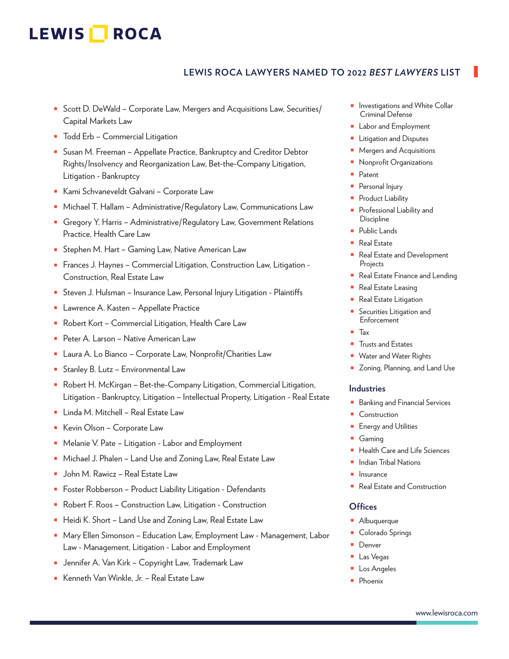## **LEWIS ROCA LAWYERS NAMED TO 2022** *BEST LAWYERS* **LIST**

- Scott D. DeWald Corporate Law, Mergers and Acquisitions Law, Securities/ Capital Markets Law
- Todd Erb Commercial Litigation
- Susan M. Freeman Appellate Practice, Bankruptcy and Creditor Debtor Rights/Insolvency and Reorganization Law, Bet-the-Company Litigation, Litigation - Bankruptcy
- Kami Schvaneveldt Galvani Corporate Law
- Michael T. Hallam Administrative/Regulatory Law, Communications Law
- Gregory Y. Harris Administrative/Regulatory Law, Government Relations Practice, Health Care Law
- Stephen M. Hart Gaming Law, Native American Law
- Frances J. Haynes Commercial Litigation, Construction Law, Litigation -Construction, Real Estate Law
- Steven J. Hulsman Insurance Law, Personal Injury Litigation Plaintiffs
- Lawrence A. Kasten Appellate Practice
- Robert Kort Commercial Litigation, Health Care Law
- Peter A. Larson Native American Law
- Laura A. Lo Bianco Corporate Law, Nonprofit/Charities Law
- Stanley B. Lutz Environmental Law
- Robert H. McKirgan Bet-the-Company Litigation, Commercial Litigation, Litigation - Bankruptcy, Litigation – Intellectual Property, Litigation - Real Estate
- Linda M. Mitchell Real Estate Law
- Kevin Olson Corporate Law
- Melanie V. Pate Litigation Labor and Employment
- Michael J. Phalen Land Use and Zoning Law, Real Estate Law
- John M. Rawicz Real Estate Law
- Foster Robberson Product Liability Litigation Defendants
- Robert F. Roos Construction Law, Litigation Construction
- Heidi K. Short Land Use and Zoning Law, Real Estate Law
- Mary Ellen Simonson Education Law, Employment Law Management, Labor Law - Management, Litigation - Labor and Employment
- Jennifer A. Van Kirk Copyright Law, Trademark Law
- Kenneth Van Winkle, Jr. Real Estate Law
- Investigations and White Collar Criminal Defense
- Labor and Employment
- Litigation and Disputes
- Mergers and Acquisitions
- Nonprofit Organizations
- Patent
- Personal Injury
- Product Liability
- Professional Liability and **Discipline**
- Public Lands
- Real Estate
- Real Estate and Development Projects
- Real Estate Finance and Lending
- Real Estate Leasing
- Real Estate Litigation
- Securities Litigation and Enforcement
- Tax
- Trusts and Estates
- Water and Water Rights
- Zoning, Planning, and Land Use

#### **Industries**

- Banking and Financial Services
- Construction
- **Energy and Utilities**
- Gaming
- **Health Care and Life Sciences**
- Indian Tribal Nations
- **Insurance**
- Real Estate and Construction

## **Offices**

- Albuquerque
- Colorado Springs
- Denver
- Las Vegas
- Los Angeles
- Phoenix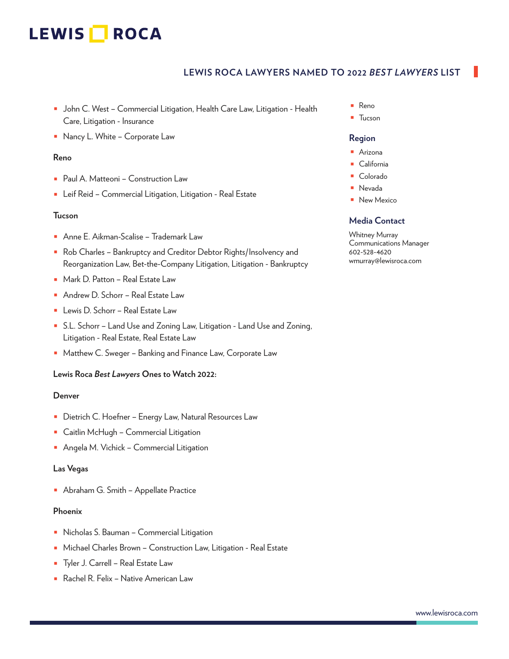## **LEWIS ROCA LAWYERS NAMED TO 2022** *BEST LAWYERS* **LIST**

- John C. West Commercial Litigation, Health Care Law, Litigation Health Care, Litigation - Insurance
- Nancy L. White Corporate Law

## **Reno**

- Paul A. Matteoni Construction Law
- Leif Reid Commercial Litigation, Litigation Real Estate

## **Tucson**

- Anne E. Aikman-Scalise Trademark Law
- Rob Charles Bankruptcy and Creditor Debtor Rights/Insolvency and Reorganization Law, Bet-the-Company Litigation, Litigation - Bankruptcy
- Mark D. Patton Real Estate Law
- Andrew D. Schorr Real Estate Law
- Lewis D. Schorr Real Estate Law
- S.L. Schorr Land Use and Zoning Law, Litigation Land Use and Zoning, Litigation - Real Estate, Real Estate Law
- Matthew C. Sweger Banking and Finance Law, Corporate Law

## **Lewis Roca** *Best Lawyers* **Ones to Watch 2022:**

## **Denver**

- Dietrich C. Hoefner Energy Law, Natural Resources Law
- Caitlin McHugh Commercial Litigation
- Angela M. Vichick Commercial Litigation

## **Las Vegas**

■ Abraham G. Smith – Appellate Practice

## **Phoenix**

- Nicholas S. Bauman Commercial Litigation
- Michael Charles Brown Construction Law, Litigation Real Estate
- Tyler J. Carrell Real Estate Law
- Rachel R. Felix Native American Law
- Reno
- Tucson

## **Region**

- Arizona
- California
- Colorado
- Nevada
- New Mexico

## **Media Contact**

Whitney Murray Communications Manager 602-528-4620 wmurray@lewisroca.com